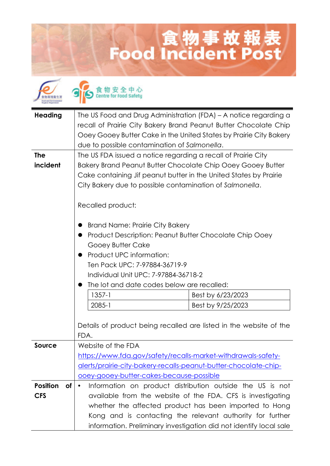## 食物事故報表<br>Food Incident Post





| <b>Heading</b><br><b>The</b><br>incident | The US Food and Drug Administration (FDA) - A notice regarding a<br>recall of Prairie City Bakery Brand Peanut Butter Chocolate Chip<br>Ooey Gooey Butter Cake in the United States by Prairie City Bakery<br>due to possible contamination of Salmonella.<br>The US FDA issued a notice regarding a recall of Prairie City<br>Bakery Brand Peanut Butter Chocolate Chip Ooey Gooey Butter |                   |
|------------------------------------------|--------------------------------------------------------------------------------------------------------------------------------------------------------------------------------------------------------------------------------------------------------------------------------------------------------------------------------------------------------------------------------------------|-------------------|
|                                          | Cake containing Jif peanut butter in the United States by Prairie<br>City Bakery due to possible contamination of Salmonella.<br>Recalled product:                                                                                                                                                                                                                                         |                   |
|                                          | <b>Brand Name: Prairie City Bakery</b><br>Product Description: Peanut Butter Chocolate Chip Ooey<br>Gooey Butter Cake<br>Product UPC information:<br>Ten Pack UPC: 7-97884-36719-9<br>Individual Unit UPC: 7-97884-36718-2<br>The lot and date codes below are recalled:                                                                                                                   |                   |
|                                          | $1357 - 1$                                                                                                                                                                                                                                                                                                                                                                                 | Best by 6/23/2023 |
|                                          | $2085 - 1$                                                                                                                                                                                                                                                                                                                                                                                 | Best by 9/25/2023 |
|                                          | Details of product being recalled are listed in the website of the<br>FDA.                                                                                                                                                                                                                                                                                                                 |                   |
| Source                                   | Website of the FDA                                                                                                                                                                                                                                                                                                                                                                         |                   |
|                                          | https://www.fda.gov/safety/recalls-market-withdrawals-safety-                                                                                                                                                                                                                                                                                                                              |                   |
|                                          | alerts/prairie-city-bakery-recalls-peanut-butter-chocolate-chip-<br>ooey-gooey-butter-cakes-because-possible                                                                                                                                                                                                                                                                               |                   |
| <b>Position</b><br>of                    | Information on product distribution outside the US is not<br>$\bullet$                                                                                                                                                                                                                                                                                                                     |                   |
| <b>CFS</b>                               | available from the website of the FDA. CFS is investigating                                                                                                                                                                                                                                                                                                                                |                   |
|                                          | whether the affected product has been imported to Hong                                                                                                                                                                                                                                                                                                                                     |                   |
|                                          | Kong and is contacting the relevant authority for further<br>information. Preliminary investigation did not identify local sale                                                                                                                                                                                                                                                            |                   |
|                                          |                                                                                                                                                                                                                                                                                                                                                                                            |                   |